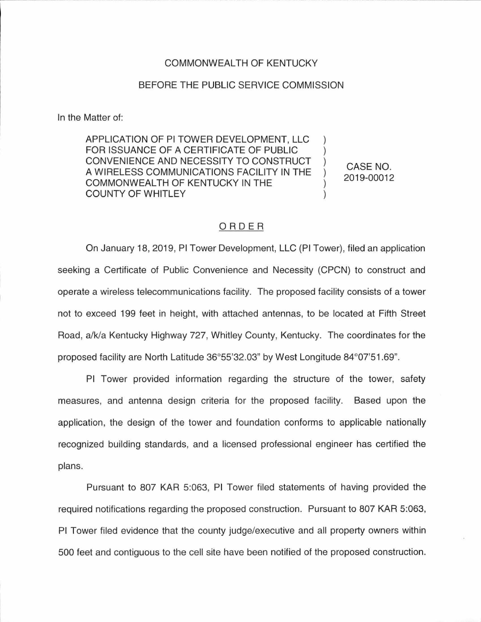### COMMONWEALTH OF KENTUCKY

#### BEFORE THE PUBLIC SERVICE COMMISSION

In the Matter of:

APPLICATION OF Pl TOWER DEVELOPMENT, LLC FOR ISSUANCE OF A CERTIFICATE OF PUBLIC CONVENIENCE AND NECESSITY TO CONSTRUCT A WIRELESS COMMUNICATIONS FACILITY IN THE COMMONWEALTH OF KENTUCKY IN THE COUNTY OF WHITLEY

CASE NO. 2019-00012

## ORDER

On January 18, 2019, Pl Tower Development, LLC (Pl Tower), filed an application seeking a Certificate of Public Convenience and Necessity (CPCN) to construct and operate a wireless telecommunications facility. The proposed facility consists of a tower not to exceed 199 feet in height, with attached antennas, to be located at Fifth Street Road, a/k/a Kentucky Highway 727, Whitley County, Kentucky. The coordinates for the proposed facility are North Latitude 36°55'32.03" by West Longitude 84°07'51.69".

Pl Tower provided information regarding the structure of the tower, safety measures, and antenna design criteria for the proposed facility. Based upon the application, the design of the tower and foundation conforms to applicable nationally recognized building standards, and a licensed professional engineer has certified the plans.

Pursuant to 807 KAR 5:063, Pl Tower filed statements of having provided the required notifications regarding the proposed construction. Pursuant to 807 KAR 5:063, Pl Tower filed evidence that the county judge/executive and all property owners within 500 feet and contiguous to the cell site have been notified of the proposed construction.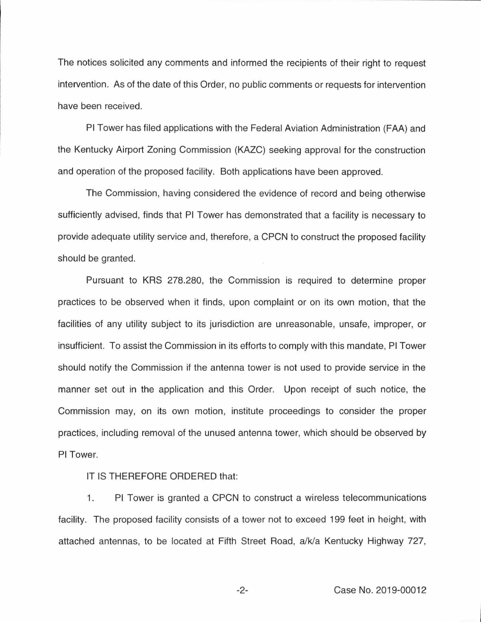The notices solicited any comments and informed the recipients of their right to request intervention. As of the date of this Order, no public comments or requests for intervention have been received.

Pl Tower has filed applications with the Federal Aviation Administration (FAA) and the Kentucky Airport Zoning Commission (KAZC) seeking approval for the construction and operation of the proposed facility. Both applications have been approved.

The Commission, having considered the evidence of record and being otherwise sufficiently advised, finds that Pl Tower has demonstrated that a facility is necessary to provide adequate utility service and, therefore, a CPCN to construct the proposed facility should be granted.

Pursuant to KRS 278.280, the Commission is required to determine proper practices to be observed when it finds, upon complaint or on its own motion, that the facilities of any utility subject to its jurisdiction are unreasonable, unsafe, improper, or insufficient. To assist the Commission in its efforts to comply with this mandate, Pl Tower should notify the Commission if the antenna tower is not used to provide service in the manner set out in the application and this Order. Upon receipt of such notice, the Commission may, on its own motion, institute proceedings to consider the proper practices, including removal of the unused antenna tower, which should be observed by Pl Tower.

## IT IS THEREFORE ORDERED that:

1. Pl Tower is granted a CPCN to construct a wireless telecommunications facility. The proposed facility consists of a tower not to exceed 199 feet in height, with attached antennas, to be located at Fifth Street Road, a/k/a Kentucky Highway 727,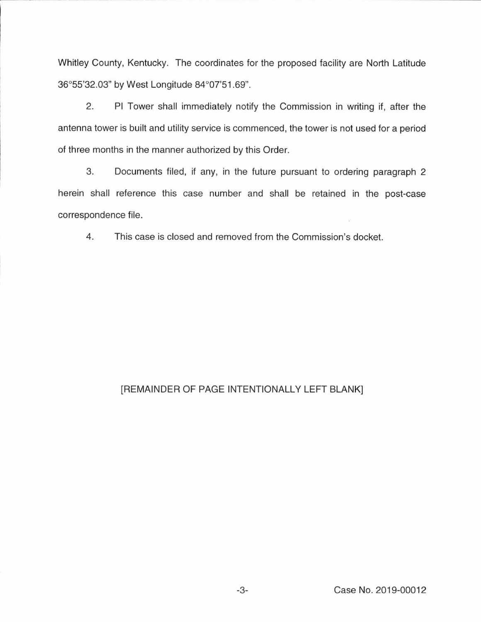Whitley County, Kentucky. The coordinates for the proposed facility are North Latitude 36°55'32.03" by West Longitude 84°07'51.69".

2. Pl Tower shall immediately notify the Commission in writing if, after the antenna tower is built and utility service is commenced, the tower is not used for a period of three months in the manner authorized by this Order.

3. Documents filed, if any, in the future pursuant to ordering paragraph 2 herein shall reference this case number and shall be retained in the post-case correspondence file.

4. This case is closed and removed from the Commission's docket.

# [REMAINDER OF PAGE INTENTIONALLY LEFT BLANK]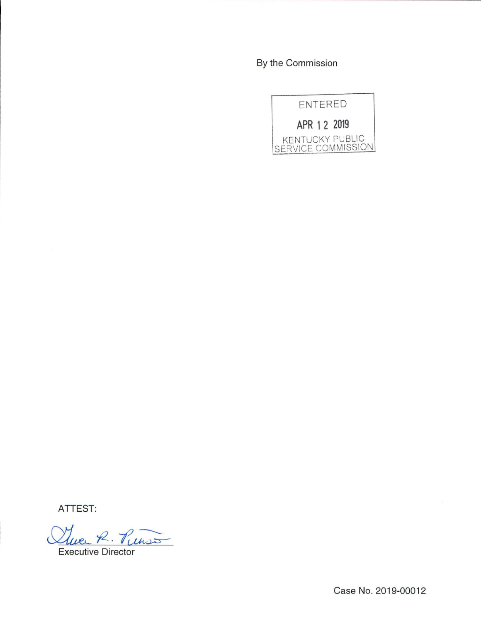By the Commission



ATTEST:

Twee R. Punso

Executive Director